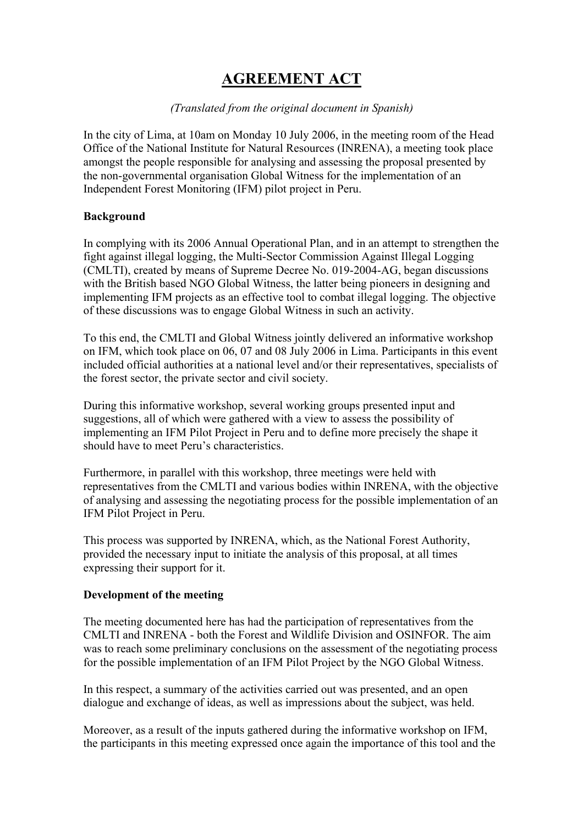# **AGREEMENT ACT**

## *(Translated from the original document in Spanish)*

In the city of Lima, at 10am on Monday 10 July 2006, in the meeting room of the Head Office of the National Institute for Natural Resources (INRENA), a meeting took place amongst the people responsible for analysing and assessing the proposal presented by the non-governmental organisation Global Witness for the implementation of an Independent Forest Monitoring (IFM) pilot project in Peru.

### **Background**

In complying with its 2006 Annual Operational Plan, and in an attempt to strengthen the fight against illegal logging, the Multi-Sector Commission Against Illegal Logging (CMLTI), created by means of Supreme Decree No. 019-2004-AG, began discussions with the British based NGO Global Witness, the latter being pioneers in designing and implementing IFM projects as an effective tool to combat illegal logging. The objective of these discussions was to engage Global Witness in such an activity.

To this end, the CMLTI and Global Witness jointly delivered an informative workshop on IFM, which took place on 06, 07 and 08 July 2006 in Lima. Participants in this event included official authorities at a national level and/or their representatives, specialists of the forest sector, the private sector and civil society.

During this informative workshop, several working groups presented input and suggestions, all of which were gathered with a view to assess the possibility of implementing an IFM Pilot Project in Peru and to define more precisely the shape it should have to meet Peru's characteristics.

Furthermore, in parallel with this workshop, three meetings were held with representatives from the CMLTI and various bodies within INRENA, with the objective of analysing and assessing the negotiating process for the possible implementation of an IFM Pilot Project in Peru.

This process was supported by INRENA, which, as the National Forest Authority, provided the necessary input to initiate the analysis of this proposal, at all times expressing their support for it.

### **Development of the meeting**

The meeting documented here has had the participation of representatives from the CMLTI and INRENA - both the Forest and Wildlife Division and OSINFOR. The aim was to reach some preliminary conclusions on the assessment of the negotiating process for the possible implementation of an IFM Pilot Project by the NGO Global Witness.

In this respect, a summary of the activities carried out was presented, and an open dialogue and exchange of ideas, as well as impressions about the subject, was held.

Moreover, as a result of the inputs gathered during the informative workshop on IFM, the participants in this meeting expressed once again the importance of this tool and the